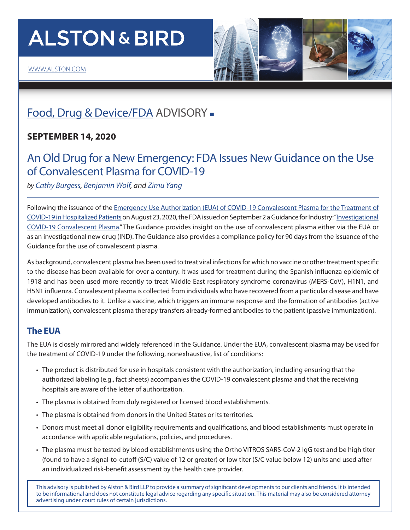# **ALSTON & BIRD**



## [Food, Drug & Device/FDA](https://www.alston.com/en/services/industries/health-care-life-sciences/health-care/food-drug--devicefda) ADVISORY -

#### **SEPTEMBER 14, 2020**

### An Old Drug for a New Emergency: FDA Issues New Guidance on the Use of Convalescent Plasma for COVID-19

*by [Cathy Burgess](https://www.alston.com/en/professionals/b/burgess-cathy-l), [Benjamin Wolf,](https://www.alston.com/en/professionals/w/wolf-ben) and [Zimu Yang](https://www.alston.com/en/professionals/y/yang-zimu)*

Following the issuance of the Emergency Use Authorization (EUA) of COVID-19 Convalescent Plasma for the Treatment of [COVID-19 in Hospitalized Patients](https://www.fda.gov/media/141478/download) on August 23, 2020, the FDA issued on September 2 a Guidance for Industry: "Investigational [COVID-19 Convalescent Plasma.](https://www.fda.gov/media/136798/download)" The Guidance provides insight on the use of convalescent plasma either via the EUA or as an investigational new drug (IND). The Guidance also provides a compliance policy for 90 days from the issuance of the Guidance for the use of convalescent plasma.

As background, convalescent plasma has been used to treat viral infections for which no vaccine or other treatment specific to the disease has been available for over a century. It was used for treatment during the Spanish influenza epidemic of 1918 and has been used more recently to treat Middle East respiratory syndrome coronavirus (MERS-CoV), H1N1, and H5N1 influenza. Convalescent plasma is collected from individuals who have recovered from a particular disease and have developed antibodies to it. Unlike a vaccine, which triggers an immune response and the formation of antibodies (active immunization), convalescent plasma therapy transfers already-formed antibodies to the patient (passive immunization).

#### **The EUA**

The EUA is closely mirrored and widely referenced in the Guidance. Under the EUA, convalescent plasma may be used for the treatment of COVID-19 under the following, nonexhaustive, list of conditions:

- The product is distributed for use in hospitals consistent with the authorization, including ensuring that the authorized labeling (e.g., fact sheets) accompanies the COVID-19 convalescent plasma and that the receiving hospitals are aware of the letter of authorization.
- The plasma is obtained from duly registered or licensed blood establishments.
- The plasma is obtained from donors in the United States or its territories.
- Donors must meet all donor eligibility requirements and qualifications, and blood establishments must operate in accordance with applicable regulations, policies, and procedures.
- The plasma must be tested by blood establishments using the Ortho VITROS SARS-CoV-2 IgG test and be high titer (found to have a signal-to-cutoff (S/C) value of 12 or greater) or low titer (S/C value below 12) units and used after an individualized risk-benefit assessment by the health care provider.

This advisory is published by Alston & Bird LLP to provide a summary of significant developments to our clients and friends. It is intended to be informational and does not constitute legal advice regarding any specific situation. This material may also be considered attorney advertising under court rules of certain jurisdictions.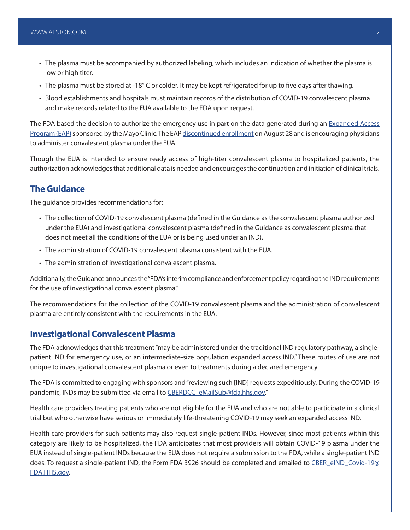- The plasma must be accompanied by authorized labeling, which includes an indication of whether the plasma is low or high titer.
- The plasma must be stored at -18° C or colder. It may be kept refrigerated for up to five days after thawing.
- Blood establishments and hospitals must maintain records of the distribution of COVID-19 convalescent plasma and make records related to the EUA available to the FDA upon request.

The FDA based the decision to authorize the emergency use in part on the data generated during an Expanded Access [Program \(EAP\)](https://www.fda.gov/news-events/public-health-focus/expanded-access) sponsored by the Mayo Clinic. The EAP [discontinued enrollment](https://www.uscovidplasma.org/) on August 28 and is encouraging physicians to administer convalescent plasma under the EUA.

Though the EUA is intended to ensure ready access of high-titer convalescent plasma to hospitalized patients, the authorization acknowledges that additional data is needed and encourages the continuation and initiation of clinical trials.

#### **The Guidance**

The guidance provides recommendations for:

- The collection of COVID-19 convalescent plasma (defined in the Guidance as the convalescent plasma authorized under the EUA) and investigational convalescent plasma (defined in the Guidance as convalescent plasma that does not meet all the conditions of the EUA or is being used under an IND).
- The administration of COVID-19 convalescent plasma consistent with the EUA.
- The administration of investigational convalescent plasma.

Additionally, the Guidance announces the "FDA's interim compliance and enforcement policy regarding the IND requirements for the use of investigational convalescent plasma."

The recommendations for the collection of the COVID-19 convalescent plasma and the administration of convalescent plasma are entirely consistent with the requirements in the EUA.

#### **Investigational Convalescent Plasma**

The FDA acknowledges that this treatment "may be administered under the traditional IND regulatory pathway, a singlepatient IND for emergency use, or an intermediate-size population expanded access IND." These routes of use are not unique to investigational convalescent plasma or even to treatments during a declared emergency.

The FDA is committed to engaging with sponsors and "reviewing such [IND] requests expeditiously. During the COVID-19 pandemic, INDs may be submitted via email to [CBERDCC\\_eMailSub@fda.hhs.gov.](mailto:CBERDCC_eMailSub@fda.hhs.gov)"

Health care providers treating patients who are not eligible for the EUA and who are not able to participate in a clinical trial but who otherwise have serious or immediately life-threatening COVID-19 may seek an expanded access IND.

Health care providers for such patients may also request single-patient INDs. However, since most patients within this category are likely to be hospitalized, the FDA anticipates that most providers will obtain COVID-19 plasma under the EUA instead of single-patient INDs because the EUA does not require a submission to the FDA, while a single-patient IND does. To request a single-patient IND, the Form FDA 3926 should be completed and emailed to [CBER\\_eIND\\_Covid-19@](mailto:CBER_eIND_Covid-19@FDA.HHS.gov) [FDA.HHS.gov.](mailto:CBER_eIND_Covid-19@FDA.HHS.gov)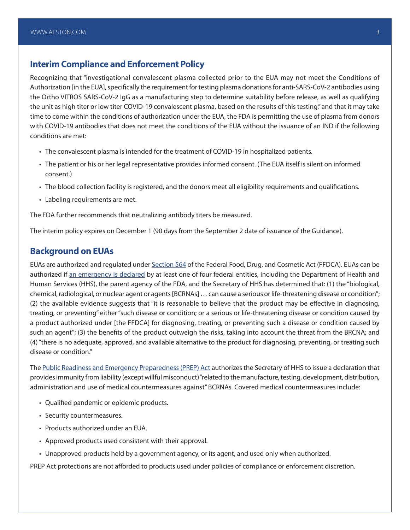#### **Interim Compliance and Enforcement Policy**

Recognizing that "investigational convalescent plasma collected prior to the EUA may not meet the Conditions of Authorization [in the EUA], specifically the requirement for testing plasma donations for anti-SARS-CoV-2 antibodies using the Ortho VITROS SARS-CoV-2 IgG as a manufacturing step to determine suitability before release, as well as qualifying the unit as high titer or low titer COVID-19 convalescent plasma, based on the results of this testing," and that it may take time to come within the conditions of authorization under the EUA, the FDA is permitting the use of plasma from donors with COVID-19 antibodies that does not meet the conditions of the EUA without the issuance of an IND if the following conditions are met:

- The convalescent plasma is intended for the treatment of COVID-19 in hospitalized patients.
- The patient or his or her legal representative provides informed consent. (The EUA itself is silent on informed consent.)
- The blood collection facility is registered, and the donors meet all eligibility requirements and qualifications.
- Labeling requirements are met.

The FDA further recommends that neutralizing antibody titers be measured.

The interim policy expires on December 1 (90 days from the September 2 date of issuance of the Guidance).

#### **Background on EUAs**

EUAs are authorized and regulated under [Section 564](https://uscode.house.gov/view.xhtml?req=granuleid:USC-prelim-title21-section360bbb-3&num=0&edition=prelim) of the Federal Food, Drug, and Cosmetic Act (FFDCA). EUAs can be authorized if [an emergency is declared](https://www.phe.gov/emergency/news/healthactions/phe/Pages/2019-nCoV.aspx) by at least one of four federal entities, including the Department of Health and Human Services (HHS), the parent agency of the FDA, and the Secretary of HHS has determined that: (1) the "biological, chemical, radiological, or nuclear agent or agents [BCRNAs] … can cause a serious or life-threatening disease or condition"; (2) the available evidence suggests that "it is reasonable to believe that the product may be effective in diagnosing, treating, or preventing" either "such disease or condition; or a serious or life-threatening disease or condition caused by a product authorized under [the FFDCA] for diagnosing, treating, or preventing such a disease or condition caused by such an agent"; (3) the benefits of the product outweigh the risks, taking into account the threat from the BRCNA; and (4) "there is no adequate, approved, and available alternative to the product for diagnosing, preventing, or treating such disease or condition."

The [Public Readiness and Emergency Preparedness \(PREP\) Act](https://www.phe.gov/Preparedness/legal/prepact/Pages/prepqa.aspx) authorizes the Secretary of HHS to issue a declaration that provides immunity from liability (except willful misconduct) "related to the manufacture, testing, development, distribution, administration and use of medical countermeasures against" BCRNAs. Covered medical countermeasures include:

- Qualified pandemic or epidemic products.
- Security countermeasures.
- Products authorized under an EUA.
- Approved products used consistent with their approval.
- Unapproved products held by a government agency, or its agent, and used only when authorized.

PREP Act protections are not afforded to products used under policies of compliance or enforcement discretion.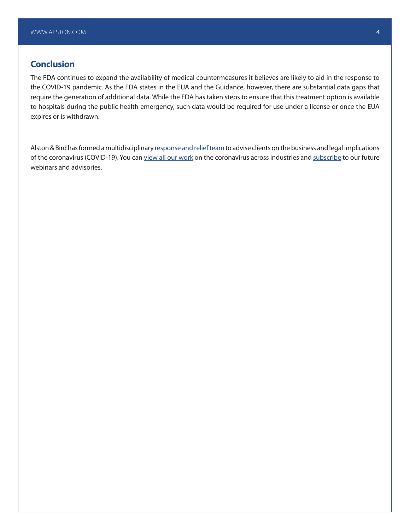#### **Conclusion**

The FDA continues to expand the availability of medical countermeasures it believes are likely to aid in the response to the COVID-19 pandemic. As the FDA states in the EUA and the Guidance, however, there are substantial data gaps that require the generation of additional data. While the FDA has taken steps to ensure that this treatment option is available to hospitals during the public health emergency, such data would be required for use under a license or once the EUA expires or is withdrawn.

Alston & Bird has formed a multidisciplinary [response and relief team](https://www.alston.com/en/resources/coronavirus-task-force/overview) to advise clients on the business and legal implications of the coronavirus (COVID-19). You can [view all our work](https://www.alston.com/en/insights/?keyword=Coronavirus&reload=false&scroll=499.7685546875) on the coronavirus across industries and [subscribe](https://www.alston.com/en/resources/subscriptions-form) to our future webinars and advisories.